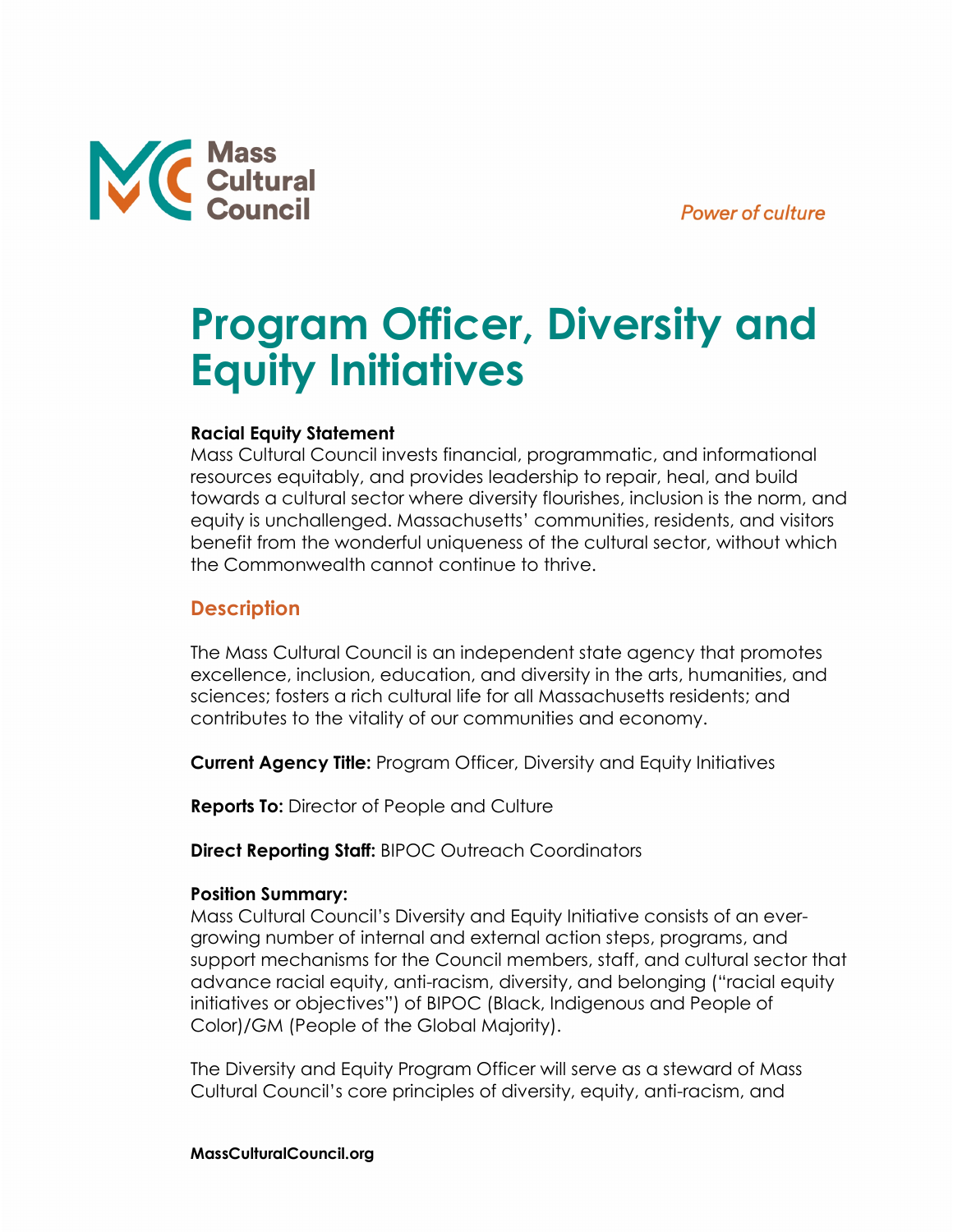

# **Program Officer, Diversity and Equity Initiatives**

# **Racial Equity Statement**

Mass Cultural Council invests financial, programmatic, and informational resources equitably, and provides leadership to repair, heal, and build towards a cultural sector where diversity flourishes, inclusion is the norm, and equity is unchallenged. Massachusetts' communities, residents, and visitors benefit from the wonderful uniqueness of the cultural sector, without which the Commonwealth cannot continue to thrive.

# **Description**

The Mass Cultural Council is an independent state agency that promotes excellence, inclusion, education, and diversity in the arts, humanities, and sciences; fosters a rich cultural life for all Massachusetts residents; and contributes to the vitality of our communities and economy.

**Current Agency Title:** Program Officer, Diversity and Equity Initiatives

**Reports To:** Director of People and Culture

**Direct Reporting Staff:** BIPOC Outreach Coordinators

# **Position Summary:**

Mass Cultural Council's Diversity and Equity Initiative consists of an evergrowing number of internal and external action steps, programs, and support mechanisms for the Council members, staff, and cultural sector that advance racial equity, anti-racism, diversity, and belonging ("racial equity initiatives or objectives") of BIPOC (Black, Indigenous and People of Color)/GM (People of the Global Majority).

The Diversity and Equity Program Officer will serve as a steward of Mass Cultural Council's core principles of diversity, equity, anti-racism, and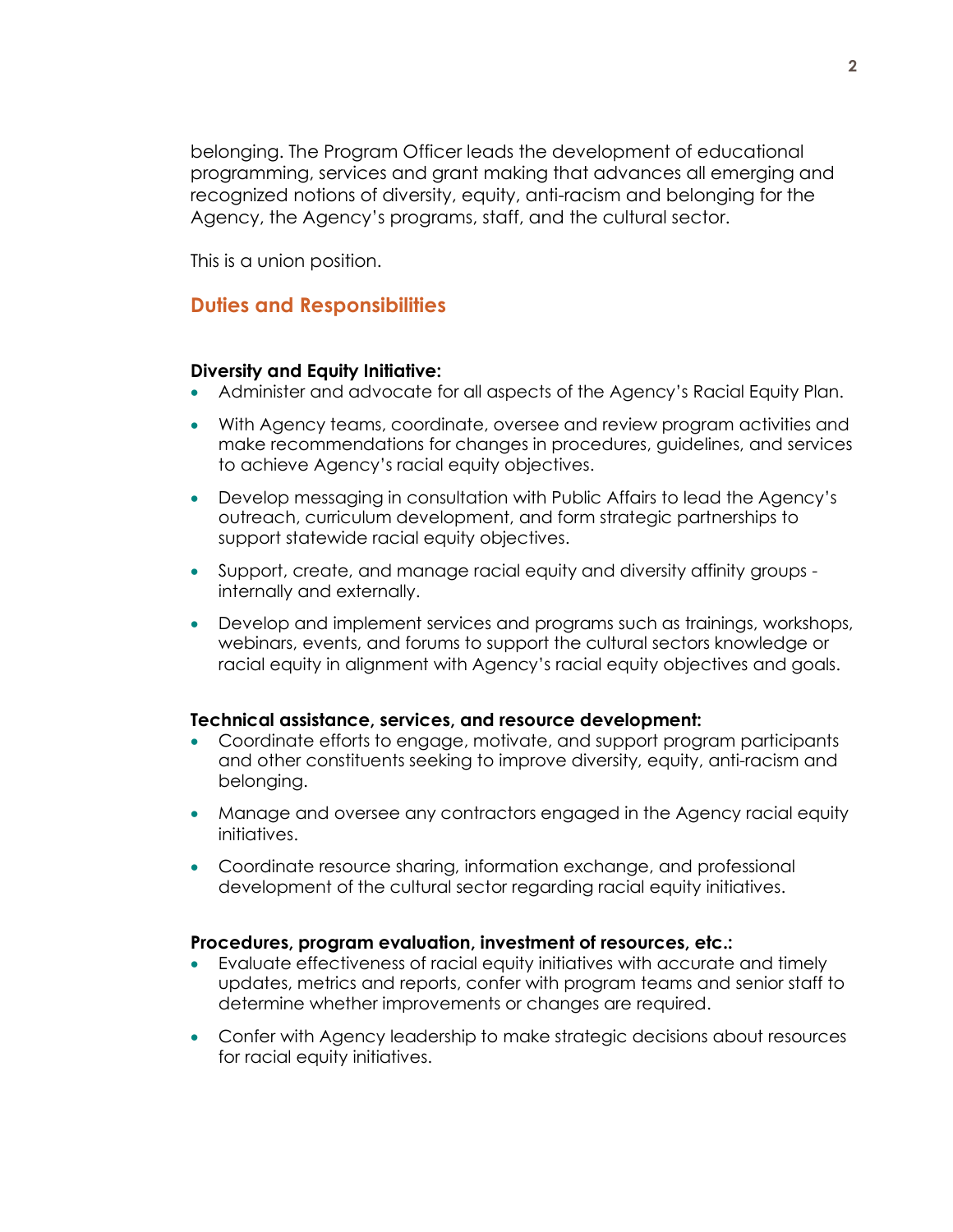belonging. The Program Officer leads the development of educational programming, services and grant making that advances all emerging and recognized notions of diversity, equity, anti-racism and belonging for the Agency, the Agency's programs, staff, and the cultural sector.

This is a union position.

# **Duties and Responsibilities**

## **Diversity and Equity Initiative:**

- Administer and advocate for all aspects of the Agency's Racial Equity Plan.
- With Agency teams, coordinate, oversee and review program activities and make recommendations for changes in procedures, guidelines, and services to achieve Agency's racial equity objectives.
- Develop messaging in consultation with Public Affairs to lead the Agency's outreach, curriculum development, and form strategic partnerships to support statewide racial equity objectives.
- Support, create, and manage racial equity and diversity affinity groups internally and externally.
- Develop and implement services and programs such as trainings, workshops, webinars, events, and forums to support the cultural sectors knowledge or racial equity in alignment with Agency's racial equity objectives and goals.

#### **Technical assistance, services, and resource development:**

- Coordinate efforts to engage, motivate, and support program participants and other constituents seeking to improve diversity, equity, anti-racism and belonging.
- Manage and oversee any contractors engaged in the Agency racial equity initiatives.
- Coordinate resource sharing, information exchange, and professional development of the cultural sector regarding racial equity initiatives.

## **Procedures, program evaluation, investment of resources, etc.:**

- Evaluate effectiveness of racial equity initiatives with accurate and timely updates, metrics and reports, confer with program teams and senior staff to determine whether improvements or changes are required.
- Confer with Agency leadership to make strategic decisions about resources for racial equity initiatives.